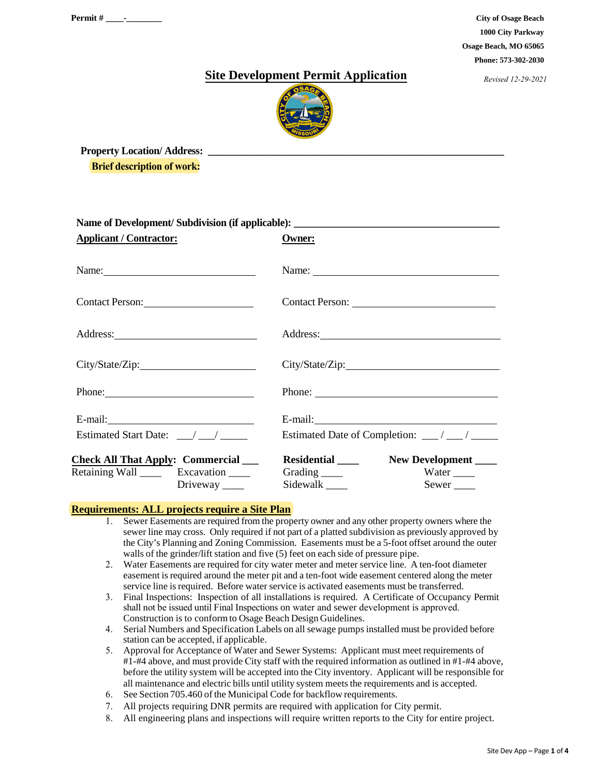**City of Osage Beach 1000 City Parkway Osage Beach, MO 65065 Phone: 573-302-2030** 

*Revised 12-29-2021*

## **Site Development Permit Application**



Property Location/ Address: **Brief description of work:**

| Name of Development/Subdivision (if applicable): ________________________________                     |                                                                                                                                                                                                                                     |  |  |  |
|-------------------------------------------------------------------------------------------------------|-------------------------------------------------------------------------------------------------------------------------------------------------------------------------------------------------------------------------------------|--|--|--|
| <b>Applicant / Contractor:</b>                                                                        | Owner:                                                                                                                                                                                                                              |  |  |  |
| Name:                                                                                                 |                                                                                                                                                                                                                                     |  |  |  |
| Contact Person: 2008                                                                                  |                                                                                                                                                                                                                                     |  |  |  |
| Address: No. 1998                                                                                     | Address: <u>Address</u> and the contract of the contract of the contract of the contract of the contract of the contract of the contract of the contract of the contract of the contract of the contract of the contract of the con |  |  |  |
|                                                                                                       |                                                                                                                                                                                                                                     |  |  |  |
| Phone:                                                                                                | Phone:                                                                                                                                                                                                                              |  |  |  |
|                                                                                                       | E-mail: <u>contract the contract of the contract of</u>                                                                                                                                                                             |  |  |  |
|                                                                                                       | Estimated Date of Completion: __/ __/ ___                                                                                                                                                                                           |  |  |  |
| <b>Check All That Apply: Commercial</b><br>Retaining Wall _______ Excavation _____<br>Driveway $\_\_$ | New Development<br>Residential ______<br>Grading $\_\_$<br>Water $\_\_$<br>Sidewalk ______<br>$Sewer$ <sub>____</sub>                                                                                                               |  |  |  |

### **Requirements: ALL projects require a Site Plan**

- 1. Sewer Easements are required from the property owner and any other property owners where the sewer line may cross. Only required if not part of a platted subdivision as previously approved by the City's Planning and Zoning Commission. Easements must be a 5-foot offset around the outer walls of the grinder/lift station and five (5) feet on each side of pressure pipe.
- 2. Water Easements are required for city water meter and meter service line. A ten-foot diameter easement isrequired around the meter pit and a ten-foot wide easement centered along the meter service line is required. Before water service is activated easements must be transferred.
- 3. Final Inspections: Inspection of all installations is required. A Certificate of Occupancy Permit shall not be issued until Final Inspections on water and sewer development is approved. Construction is to conformto Osage Beach Design Guidelines.
- 4. Serial Numbers and Specification Labels on all sewage pumps installed must be provided before station can be accepted, if applicable.
- 5. Approval for Acceptance of Water and Sewer Systems: Applicant must meet requirements of #1-#4 above, and must provide City staff with the required information as outlined in #1-#4 above, before the utility system will be accepted into the City inventory. Applicant will be responsible for all maintenance and electric bills until utility system meets the requirements and is accepted.
- 6. See Section 705.460 of the Municipal Code for backflow requirements.
- 7. All projects requiring DNR permits are required with application for City permit.
- 8. All engineering plans and inspections will require written reports to the City for entire project.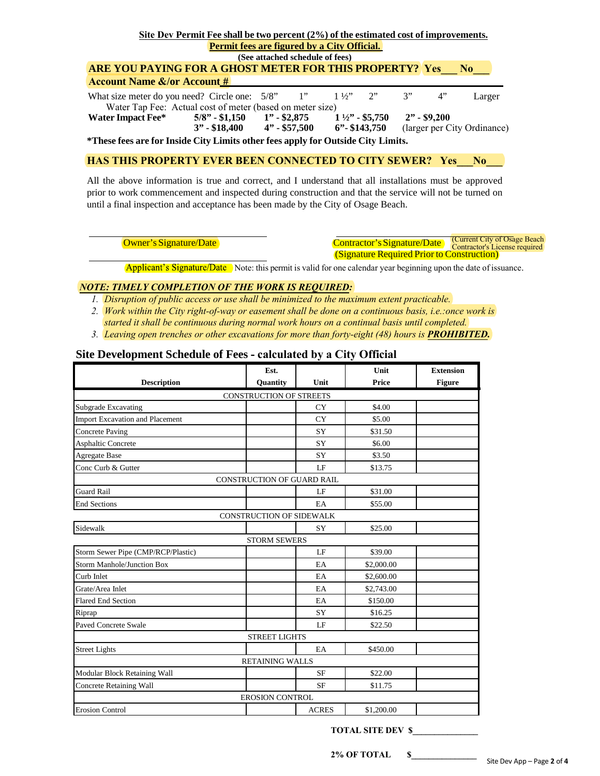|                                                                                  | Site Dev Permit Fee shall be two percent (2%) of the estimated cost of improvements.                       |  |  |                   |                  |    |    |                             |
|----------------------------------------------------------------------------------|------------------------------------------------------------------------------------------------------------|--|--|-------------------|------------------|----|----|-----------------------------|
|                                                                                  | <b>Permit fees are figured by a City Official.</b>                                                         |  |  |                   |                  |    |    |                             |
| (See attached schedule of fees)                                                  |                                                                                                            |  |  |                   |                  |    |    |                             |
| <b>ARE YOU PAYING FOR A GHOST METER FOR THIS PROPERTY? Yes No</b>                |                                                                                                            |  |  |                   |                  |    |    |                             |
| <b>Account Name &amp;/or Account #</b>                                           |                                                                                                            |  |  |                   |                  |    |    |                             |
| What size meter do you need? Circle one: $5/8$ " 1"                              | Water Tap Fee: Actual cost of meter (based on meter size)                                                  |  |  | $1\frac{1}{2}$ 2" |                  | 3" | 4" | Larger                      |
| Water Impact Fee*                                                                | $5/8$ " - \$1,150 1" - \$2,875 1 $\frac{1}{2}$ " - \$5,750 2" - \$9,200<br>$3'' - $18,400$ $4'' - $57,500$ |  |  |                   | $6$ "- \$143,750 |    |    | (larger per City Ordinance) |
| *These fees are for Inside City Limits other fees apply for Outside City Limits. |                                                                                                            |  |  |                   |                  |    |    |                             |
| <b>HAS THIS PROPERTY EVER BEEN CONNECTED TO CITY SEWER?</b> Yes                  |                                                                                                            |  |  |                   |                  |    |    | No.                         |

All the above information is true and correct, and I understand that all installations must be approved prior to work commencement and inspected during construction and that the service will not be turned on until a final inspection and acceptance has been made by the City of Osage Beach.

Owner's Signature/Date Contractor's Signature/Date (Signature Required Prior to Construction) (Current City of Osage Beach Contractor's License required

Applicant's Signature/Date Note: this permit is valid for one calendar year beginning upon the date of issuance.

#### *NOTE: TIMELY COMPLETION OF THE WORK IS REQUIRED:*

- *1. Disruption of public access or use shall be minimized to the maximum extent practicable.*
- *2. Work within the City right-of-way or easement shall be done on a continuous basis, i.e.:once work is*
- *started it shall be continuous during normal work hours on a continual basis until completed.*
- *3. Leaving open trenches or other excavations for more than forty-eight (48) hours is PROHIBITED.*

### **Site Development Schedule of Fees - calculated by a City Official**

|                                    | Est.                            |              | Unit         | <b>Extension</b> |
|------------------------------------|---------------------------------|--------------|--------------|------------------|
| <b>Description</b>                 | Quantity                        | Unit         | <b>Price</b> | <b>Figure</b>    |
|                                    | <b>CONSTRUCTION OF STREETS</b>  |              |              |                  |
| Subgrade Excavating                |                                 | <b>CY</b>    | \$4.00       |                  |
| Import Excavation and Placement    |                                 | <b>CY</b>    | \$5.00       |                  |
| <b>Concrete Paving</b>             |                                 | <b>SY</b>    | \$31.50      |                  |
| <b>Asphaltic Concrete</b>          |                                 | SY           | \$6.00       |                  |
| <b>Agregate Base</b>               |                                 | SY           | \$3.50       |                  |
| Conc Curb & Gutter                 |                                 | LF           | \$13.75      |                  |
|                                    | CONSTRUCTION OF GUARD RAIL      |              |              |                  |
| <b>Guard Rail</b>                  |                                 | LF           | \$31.00      |                  |
| <b>End Sections</b>                |                                 | EA           | \$55.00      |                  |
|                                    | <b>CONSTRUCTION OF SIDEWALK</b> |              |              |                  |
| Sidewalk                           |                                 | SY           | \$25.00      |                  |
|                                    | <b>STORM SEWERS</b>             |              |              |                  |
| Storm Sewer Pipe (CMP/RCP/Plastic) |                                 | LF           | \$39.00      |                  |
| <b>Storm Manhole/Junction Box</b>  |                                 | EA           | \$2,000.00   |                  |
| Curb Inlet                         |                                 | EA           | \$2,600.00   |                  |
| Grate/Area Inlet                   |                                 | EA           | \$2,743.00   |                  |
| <b>Flared End Section</b>          |                                 | EA           | \$150.00     |                  |
| Riprap                             |                                 | SY           | \$16.25      |                  |
| <b>Paved Concrete Swale</b>        |                                 | LE           | \$22.50      |                  |
|                                    | <b>STREET LIGHTS</b>            |              |              |                  |
| <b>Street Lights</b>               |                                 | EA           | \$450.00     |                  |
|                                    | <b>RETAINING WALLS</b>          |              |              |                  |
| Modular Block Retaining Wall       |                                 | <b>SF</b>    | \$22.00      |                  |
| Concrete Retaining Wall            |                                 | <b>SF</b>    | \$11.75      |                  |
|                                    | <b>EROSION CONTROL</b>          |              |              |                  |
| <b>Erosion Control</b>             |                                 | <b>ACRES</b> | \$1,200.00   |                  |

**TOTAL SITE DEV \$\_\_\_\_\_\_\_\_\_\_\_\_\_\_\_**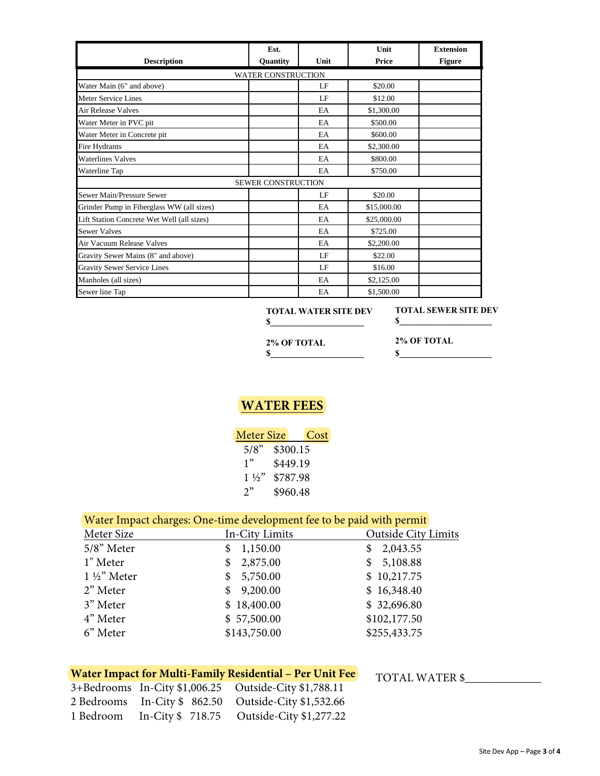|                                            | Est.                      |      | Unit        | <b>Extension</b> |
|--------------------------------------------|---------------------------|------|-------------|------------------|
| <b>Description</b>                         | Quantity                  | Unit | Price       | <b>Figure</b>    |
|                                            | <b>WATER CONSTRUCTION</b> |      |             |                  |
| Water Main (6" and above)                  |                           | LF   | \$20.00     |                  |
| <b>Meter Service Lines</b>                 |                           | LF   | \$12.00     |                  |
| Air Release Valves                         |                           | EA   | \$1,300.00  |                  |
| Water Meter in PVC pit                     |                           | EA   | \$500.00    |                  |
| Water Meter in Concrete pit                |                           | EA   | \$600.00    |                  |
| Fire Hydrants                              |                           | EA   | \$2,300.00  |                  |
| <b>Waterlines Valves</b>                   |                           | EA   | \$800.00    |                  |
| Waterline Tap                              |                           | EA   | \$750.00    |                  |
|                                            | SEWER CONSTRUCTION        |      |             |                  |
| Sewer Main/Pressure Sewer                  |                           | LE   | \$20.00     |                  |
| Grinder Pump in Fiberglass WW (all sizes)  |                           | EA   | \$15,000.00 |                  |
| Lift Station Concrete Wet Well (all sizes) |                           | EA   | \$25,000.00 |                  |
| <b>Sewer Valves</b>                        |                           | EA   | \$725.00    |                  |
| Air Vacuum Release Valves                  |                           | EA   | \$2,200.00  |                  |
| Gravity Sewer Mains (8" and above)         |                           | LE   | \$22.00     |                  |
| <b>Gravity Sewer Service Lines</b>         |                           | LE   | \$16.00     |                  |
| Manholes (all sizes)                       |                           | EA   | \$2,125.00  |                  |
| Sewer line Tap                             |                           | EA   | \$1,500.00  |                  |

 **TOTAL WATER SITE DEV \$\_\_\_\_\_\_\_\_\_\_\_\_\_\_\_\_\_\_\_\_\_\_** 

**TOTAL SEWER SITE DEV \$\_\_\_\_\_\_\_\_\_\_\_\_\_\_\_\_\_\_\_\_\_\_** 

**\$\_\_\_\_\_\_\_\_\_\_\_\_\_\_\_\_\_\_\_\_\_\_**

**2% OF TOTAL \$\_\_\_\_\_\_\_\_\_\_\_\_\_\_\_\_\_\_\_\_\_\_**  **2% OF TOTAL** 

# **WATER FEES**

| <b>Meter Size</b> | Cost     |
|-------------------|----------|
| 5/8"              | \$300.15 |
| 1"                | \$449.19 |
| $1\frac{1}{2}$    | \$787.98 |
| 2"                | \$960.48 |

## Water Impact charges: One-time development fee to be paid with permit

| Meter Size             | In-City Limits | <b>Outside City Limits</b> |
|------------------------|----------------|----------------------------|
| 5/8" Meter             | 1,150.00<br>\$ | 2,043.55<br>S              |
| 1" Meter               | 2,875.00<br>S. | \$5,108.88                 |
| $1\frac{1}{2}$ " Meter | 5,750.00<br>S. | \$10,217.75                |
| 2" Meter               | 9,200.00<br>S. | \$16,348.40                |
| 3" Meter               | \$18,400.00    | \$32,696.80                |
| 4" Meter               | \$57,500.00    | \$102,177.50               |
| 6" Meter               | \$143,750.00   | \$255,433.75               |
|                        |                |                            |

# Water Impact for Multi-Family Residential - Per Unit Fee TOTAL WATER \$

|           | 3+Bedrooms In-City \$1,006.25 Outside-City \$1,788.11 |
|-----------|-------------------------------------------------------|
|           | 2 Bedrooms In-City \$862.50 Outside-City \$1,532.66   |
| 1 Bedroom | In-City \$718.75 Outside-City \$1,277.22              |